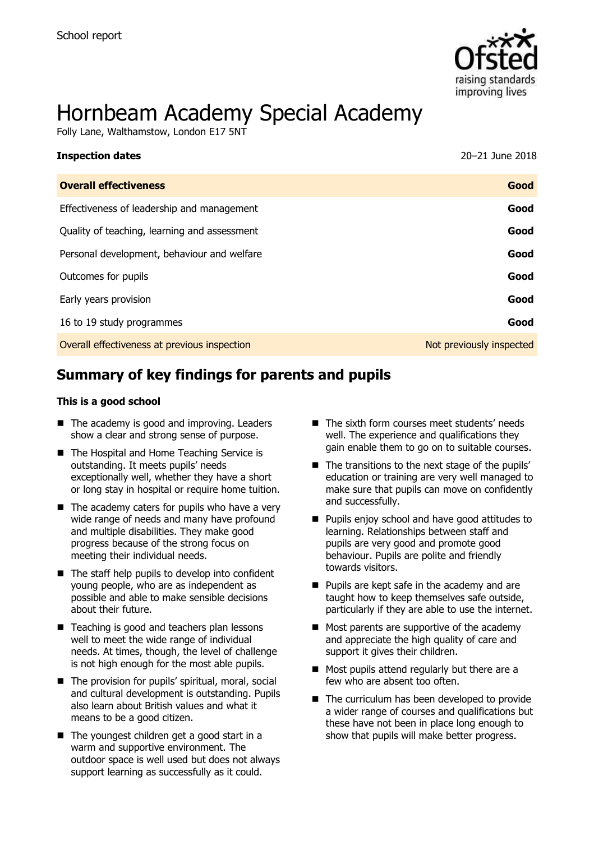

# Hornbeam Academy Special Academy

Folly Lane, Walthamstow, London E17 5NT

| <b>Inspection dates</b>                      | 20-21 June 2018          |
|----------------------------------------------|--------------------------|
| <b>Overall effectiveness</b>                 | Good                     |
| Effectiveness of leadership and management   | Good                     |
| Quality of teaching, learning and assessment | Good                     |
| Personal development, behaviour and welfare  | Good                     |
| Outcomes for pupils                          | Good                     |
| Early years provision                        | Good                     |
| 16 to 19 study programmes                    | Good                     |
| Overall effectiveness at previous inspection | Not previously inspected |
|                                              |                          |

# **Summary of key findings for parents and pupils**

#### **This is a good school**

- The academy is good and improving. Leaders show a clear and strong sense of purpose.
- The Hospital and Home Teaching Service is outstanding. It meets pupils' needs exceptionally well, whether they have a short or long stay in hospital or require home tuition.
- $\blacksquare$  The academy caters for pupils who have a very wide range of needs and many have profound and multiple disabilities. They make good progress because of the strong focus on meeting their individual needs.
- $\blacksquare$  The staff help pupils to develop into confident young people, who are as independent as possible and able to make sensible decisions about their future.
- Teaching is good and teachers plan lessons well to meet the wide range of individual needs. At times, though, the level of challenge is not high enough for the most able pupils.
- The provision for pupils' spiritual, moral, social and cultural development is outstanding. Pupils also learn about British values and what it means to be a good citizen.
- The youngest children get a good start in a warm and supportive environment. The outdoor space is well used but does not always support learning as successfully as it could.
- The sixth form courses meet students' needs well. The experience and qualifications they gain enable them to go on to suitable courses.
- $\blacksquare$  The transitions to the next stage of the pupils' education or training are very well managed to make sure that pupils can move on confidently and successfully.
- **Pupils enjoy school and have good attitudes to** learning. Relationships between staff and pupils are very good and promote good behaviour. Pupils are polite and friendly towards visitors.
- **Pupils are kept safe in the academy and are** taught how to keep themselves safe outside, particularly if they are able to use the internet.
- $\blacksquare$  Most parents are supportive of the academy and appreciate the high quality of care and support it gives their children.
- Most pupils attend regularly but there are a few who are absent too often.
- The curriculum has been developed to provide a wider range of courses and qualifications but these have not been in place long enough to show that pupils will make better progress.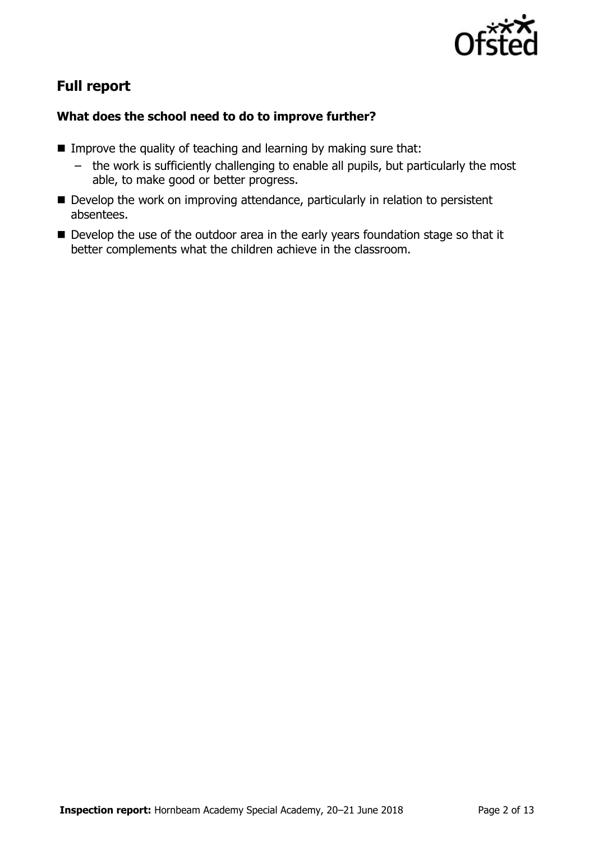

# **Full report**

### **What does the school need to do to improve further?**

- Improve the quality of teaching and learning by making sure that:
	- the work is sufficiently challenging to enable all pupils, but particularly the most able, to make good or better progress.
- Develop the work on improving attendance, particularly in relation to persistent absentees.
- Develop the use of the outdoor area in the early years foundation stage so that it better complements what the children achieve in the classroom.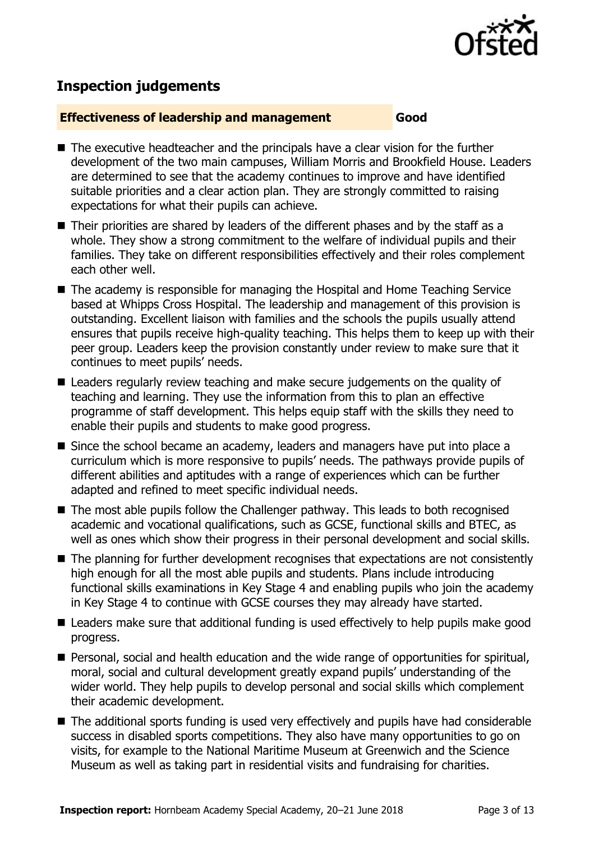

# **Inspection judgements**

#### **Effectiveness of leadership and management Good**

- $\blacksquare$  The executive headteacher and the principals have a clear vision for the further development of the two main campuses, William Morris and Brookfield House. Leaders are determined to see that the academy continues to improve and have identified suitable priorities and a clear action plan. They are strongly committed to raising expectations for what their pupils can achieve.
- Their priorities are shared by leaders of the different phases and by the staff as a whole. They show a strong commitment to the welfare of individual pupils and their families. They take on different responsibilities effectively and their roles complement each other well.
- The academy is responsible for managing the Hospital and Home Teaching Service based at Whipps Cross Hospital. The leadership and management of this provision is outstanding. Excellent liaison with families and the schools the pupils usually attend ensures that pupils receive high-quality teaching. This helps them to keep up with their peer group. Leaders keep the provision constantly under review to make sure that it continues to meet pupils' needs.
- Leaders regularly review teaching and make secure judgements on the quality of teaching and learning. They use the information from this to plan an effective programme of staff development. This helps equip staff with the skills they need to enable their pupils and students to make good progress.
- Since the school became an academy, leaders and managers have put into place a curriculum which is more responsive to pupils' needs. The pathways provide pupils of different abilities and aptitudes with a range of experiences which can be further adapted and refined to meet specific individual needs.
- The most able pupils follow the Challenger pathway. This leads to both recognised academic and vocational qualifications, such as GCSE, functional skills and BTEC, as well as ones which show their progress in their personal development and social skills.
- The planning for further development recognises that expectations are not consistently high enough for all the most able pupils and students. Plans include introducing functional skills examinations in Key Stage 4 and enabling pupils who join the academy in Key Stage 4 to continue with GCSE courses they may already have started.
- Leaders make sure that additional funding is used effectively to help pupils make good progress.
- **Personal, social and health education and the wide range of opportunities for spiritual,** moral, social and cultural development greatly expand pupils' understanding of the wider world. They help pupils to develop personal and social skills which complement their academic development.
- The additional sports funding is used very effectively and pupils have had considerable success in disabled sports competitions. They also have many opportunities to go on visits, for example to the National Maritime Museum at Greenwich and the Science Museum as well as taking part in residential visits and fundraising for charities.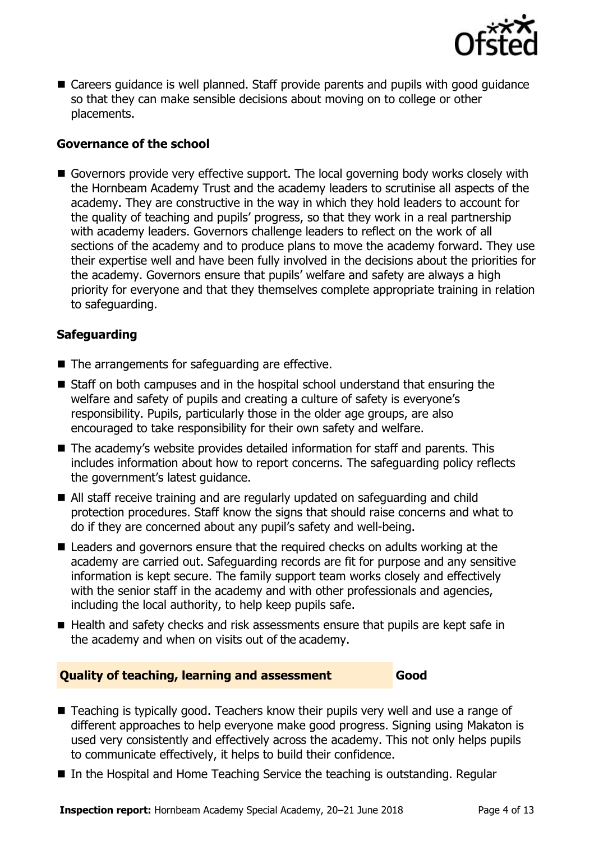

■ Careers quidance is well planned. Staff provide parents and pupils with good guidance so that they can make sensible decisions about moving on to college or other placements.

#### **Governance of the school**

Governors provide very effective support. The local governing body works closely with the Hornbeam Academy Trust and the academy leaders to scrutinise all aspects of the academy. They are constructive in the way in which they hold leaders to account for the quality of teaching and pupils' progress, so that they work in a real partnership with academy leaders. Governors challenge leaders to reflect on the work of all sections of the academy and to produce plans to move the academy forward. They use their expertise well and have been fully involved in the decisions about the priorities for the academy. Governors ensure that pupils' welfare and safety are always a high priority for everyone and that they themselves complete appropriate training in relation to safeguarding.

### **Safeguarding**

- The arrangements for safeguarding are effective.
- Staff on both campuses and in the hospital school understand that ensuring the welfare and safety of pupils and creating a culture of safety is everyone's responsibility. Pupils, particularly those in the older age groups, are also encouraged to take responsibility for their own safety and welfare.
- The academy's website provides detailed information for staff and parents. This includes information about how to report concerns. The safeguarding policy reflects the government's latest guidance.
- All staff receive training and are regularly updated on safeguarding and child protection procedures. Staff know the signs that should raise concerns and what to do if they are concerned about any pupil's safety and well-being.
- Leaders and governors ensure that the required checks on adults working at the academy are carried out. Safeguarding records are fit for purpose and any sensitive information is kept secure. The family support team works closely and effectively with the senior staff in the academy and with other professionals and agencies, including the local authority, to help keep pupils safe.
- Health and safety checks and risk assessments ensure that pupils are kept safe in the academy and when on visits out of the academy.

#### **Quality of teaching, learning and assessment Good**

- Teaching is typically good. Teachers know their pupils very well and use a range of different approaches to help everyone make good progress. Signing using Makaton is used very consistently and effectively across the academy. This not only helps pupils to communicate effectively, it helps to build their confidence.
- In the Hospital and Home Teaching Service the teaching is outstanding. Regular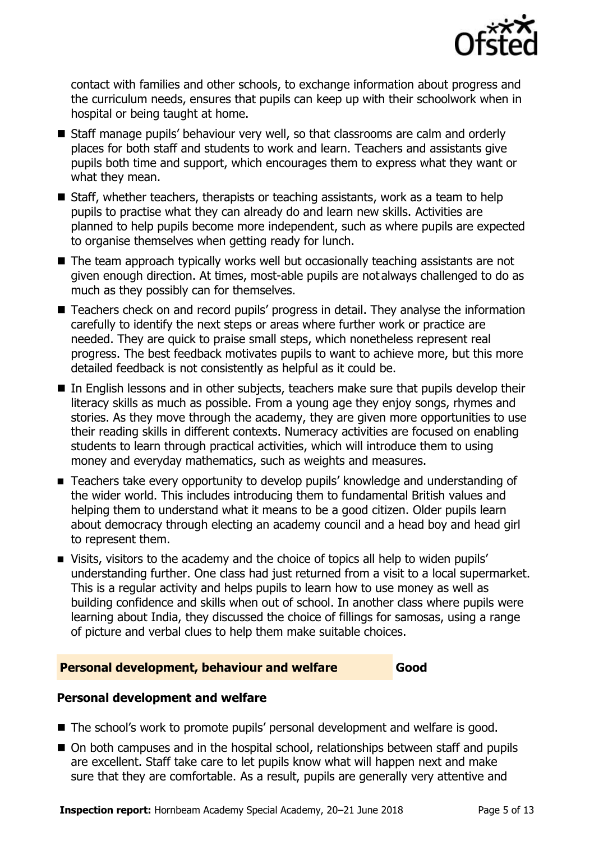

contact with families and other schools, to exchange information about progress and the curriculum needs, ensures that pupils can keep up with their schoolwork when in hospital or being taught at home.

- Staff manage pupils' behaviour very well, so that classrooms are calm and orderly places for both staff and students to work and learn. Teachers and assistants give pupils both time and support, which encourages them to express what they want or what they mean.
- Staff, whether teachers, therapists or teaching assistants, work as a team to help pupils to practise what they can already do and learn new skills. Activities are planned to help pupils become more independent, such as where pupils are expected to organise themselves when getting ready for lunch.
- The team approach typically works well but occasionally teaching assistants are not given enough direction. At times, most-able pupils are not always challenged to do as much as they possibly can for themselves.
- Teachers check on and record pupils' progress in detail. They analyse the information carefully to identify the next steps or areas where further work or practice are needed. They are quick to praise small steps, which nonetheless represent real progress. The best feedback motivates pupils to want to achieve more, but this more detailed feedback is not consistently as helpful as it could be.
- In English lessons and in other subjects, teachers make sure that pupils develop their literacy skills as much as possible. From a young age they enjoy songs, rhymes and stories. As they move through the academy, they are given more opportunities to use their reading skills in different contexts. Numeracy activities are focused on enabling students to learn through practical activities, which will introduce them to using money and everyday mathematics, such as weights and measures.
- Teachers take every opportunity to develop pupils' knowledge and understanding of the wider world. This includes introducing them to fundamental British values and helping them to understand what it means to be a good citizen. Older pupils learn about democracy through electing an academy council and a head boy and head girl to represent them.
- Visits, visitors to the academy and the choice of topics all help to widen pupils' understanding further. One class had just returned from a visit to a local supermarket. This is a regular activity and helps pupils to learn how to use money as well as building confidence and skills when out of school. In another class where pupils were learning about India, they discussed the choice of fillings for samosas, using a range of picture and verbal clues to help them make suitable choices.

#### **Personal development, behaviour and welfare Good**

### **Personal development and welfare**

- The school's work to promote pupils' personal development and welfare is good.
- On both campuses and in the hospital school, relationships between staff and pupils are excellent. Staff take care to let pupils know what will happen next and make sure that they are comfortable. As a result, pupils are generally very attentive and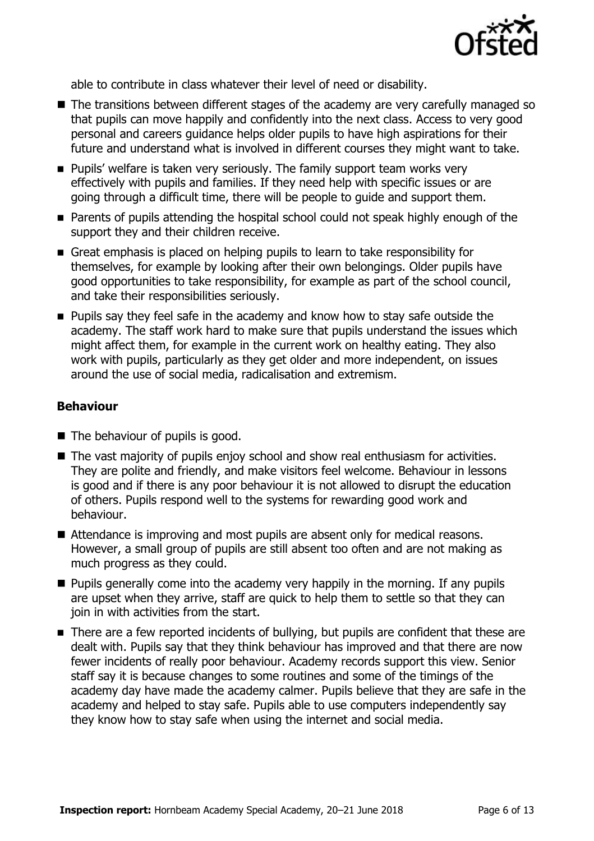

able to contribute in class whatever their level of need or disability.

- The transitions between different stages of the academy are very carefully managed so that pupils can move happily and confidently into the next class. Access to very good personal and careers guidance helps older pupils to have high aspirations for their future and understand what is involved in different courses they might want to take.
- **Pupils' welfare is taken very seriously. The family support team works very** effectively with pupils and families. If they need help with specific issues or are going through a difficult time, there will be people to guide and support them.
- **Parents of pupils attending the hospital school could not speak highly enough of the** support they and their children receive.
- Great emphasis is placed on helping pupils to learn to take responsibility for themselves, for example by looking after their own belongings. Older pupils have good opportunities to take responsibility, for example as part of the school council, and take their responsibilities seriously.
- **Pupils say they feel safe in the academy and know how to stay safe outside the** academy. The staff work hard to make sure that pupils understand the issues which might affect them, for example in the current work on healthy eating. They also work with pupils, particularly as they get older and more independent, on issues around the use of social media, radicalisation and extremism.

#### **Behaviour**

- The behaviour of pupils is good.
- The vast majority of pupils enjoy school and show real enthusiasm for activities. They are polite and friendly, and make visitors feel welcome. Behaviour in lessons is good and if there is any poor behaviour it is not allowed to disrupt the education of others. Pupils respond well to the systems for rewarding good work and behaviour.
- Attendance is improving and most pupils are absent only for medical reasons. However, a small group of pupils are still absent too often and are not making as much progress as they could.
- $\blacksquare$  Pupils generally come into the academy very happily in the morning. If any pupils are upset when they arrive, staff are quick to help them to settle so that they can join in with activities from the start.
- There are a few reported incidents of bullying, but pupils are confident that these are dealt with. Pupils say that they think behaviour has improved and that there are now fewer incidents of really poor behaviour. Academy records support this view. Senior staff say it is because changes to some routines and some of the timings of the academy day have made the academy calmer. Pupils believe that they are safe in the academy and helped to stay safe. Pupils able to use computers independently say they know how to stay safe when using the internet and social media.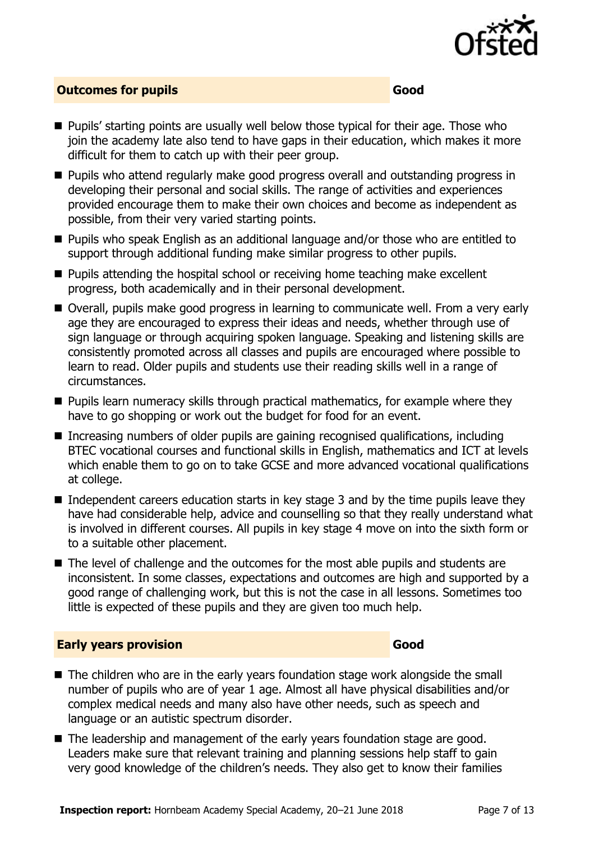

### **Outcomes for pupils Good**

- **Pupils' starting points are usually well below those typical for their age. Those who** join the academy late also tend to have gaps in their education, which makes it more difficult for them to catch up with their peer group.
- **Pupils who attend regularly make good progress overall and outstanding progress in** developing their personal and social skills. The range of activities and experiences provided encourage them to make their own choices and become as independent as possible, from their very varied starting points.
- Pupils who speak English as an additional language and/or those who are entitled to support through additional funding make similar progress to other pupils.
- $\blacksquare$  Pupils attending the hospital school or receiving home teaching make excellent progress, both academically and in their personal development.
- Overall, pupils make good progress in learning to communicate well. From a very early age they are encouraged to express their ideas and needs, whether through use of sign language or through acquiring spoken language. Speaking and listening skills are consistently promoted across all classes and pupils are encouraged where possible to learn to read. Older pupils and students use their reading skills well in a range of circumstances.
- $\blacksquare$  Pupils learn numeracy skills through practical mathematics, for example where they have to go shopping or work out the budget for food for an event.
- Increasing numbers of older pupils are gaining recognised qualifications, including BTEC vocational courses and functional skills in English, mathematics and ICT at levels which enable them to go on to take GCSE and more advanced vocational qualifications at college.
- $\blacksquare$  Independent careers education starts in key stage 3 and by the time pupils leave they have had considerable help, advice and counselling so that they really understand what is involved in different courses. All pupils in key stage 4 move on into the sixth form or to a suitable other placement.
- The level of challenge and the outcomes for the most able pupils and students are inconsistent. In some classes, expectations and outcomes are high and supported by a good range of challenging work, but this is not the case in all lessons. Sometimes too little is expected of these pupils and they are given too much help.

#### **Early years provision Good**

- The children who are in the early years foundation stage work alongside the small number of pupils who are of year 1 age. Almost all have physical disabilities and/or complex medical needs and many also have other needs, such as speech and language or an autistic spectrum disorder.
- The leadership and management of the early years foundation stage are good. Leaders make sure that relevant training and planning sessions help staff to gain very good knowledge of the children's needs. They also get to know their families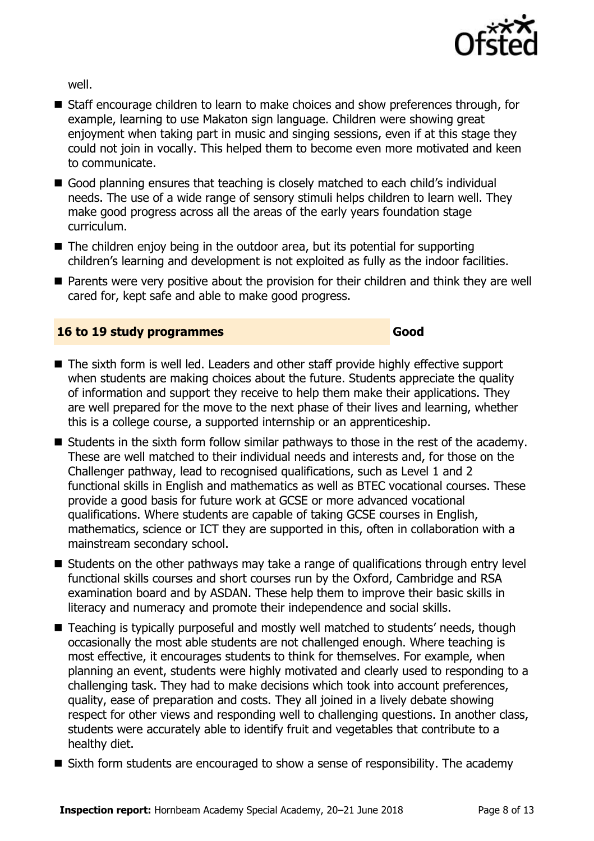

well.

- Staff encourage children to learn to make choices and show preferences through, for example, learning to use Makaton sign language. Children were showing great enjoyment when taking part in music and singing sessions, even if at this stage they could not join in vocally. This helped them to become even more motivated and keen to communicate.
- Good planning ensures that teaching is closely matched to each child's individual needs. The use of a wide range of sensory stimuli helps children to learn well. They make good progress across all the areas of the early years foundation stage curriculum.
- $\blacksquare$  The children enjoy being in the outdoor area, but its potential for supporting children's learning and development is not exploited as fully as the indoor facilities.
- Parents were very positive about the provision for their children and think they are well cared for, kept safe and able to make good progress.

#### **16 to 19 study programmes Good**

- The sixth form is well led. Leaders and other staff provide highly effective support when students are making choices about the future. Students appreciate the quality of information and support they receive to help them make their applications. They are well prepared for the move to the next phase of their lives and learning, whether this is a college course, a supported internship or an apprenticeship.
- Students in the sixth form follow similar pathways to those in the rest of the academy. These are well matched to their individual needs and interests and, for those on the Challenger pathway, lead to recognised qualifications, such as Level 1 and 2 functional skills in English and mathematics as well as BTEC vocational courses. These provide a good basis for future work at GCSE or more advanced vocational qualifications. Where students are capable of taking GCSE courses in English, mathematics, science or ICT they are supported in this, often in collaboration with a mainstream secondary school.
- Students on the other pathways may take a range of qualifications through entry level functional skills courses and short courses run by the Oxford, Cambridge and RSA examination board and by ASDAN. These help them to improve their basic skills in literacy and numeracy and promote their independence and social skills.
- Teaching is typically purposeful and mostly well matched to students' needs, though occasionally the most able students are not challenged enough. Where teaching is most effective, it encourages students to think for themselves. For example, when planning an event, students were highly motivated and clearly used to responding to a challenging task. They had to make decisions which took into account preferences, quality, ease of preparation and costs. They all joined in a lively debate showing respect for other views and responding well to challenging questions. In another class, students were accurately able to identify fruit and vegetables that contribute to a healthy diet.
- $\blacksquare$  Sixth form students are encouraged to show a sense of responsibility. The academy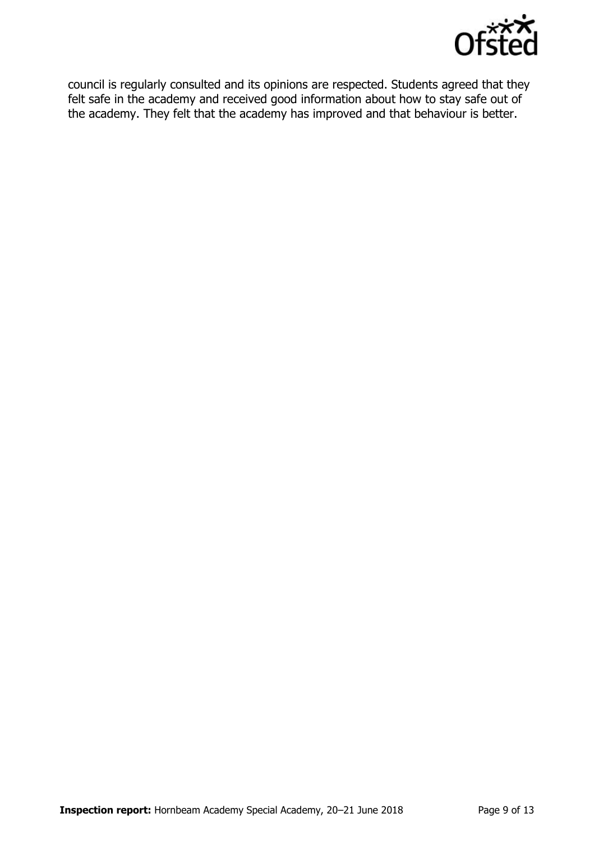

council is regularly consulted and its opinions are respected. Students agreed that they felt safe in the academy and received good information about how to stay safe out of the academy. They felt that the academy has improved and that behaviour is better.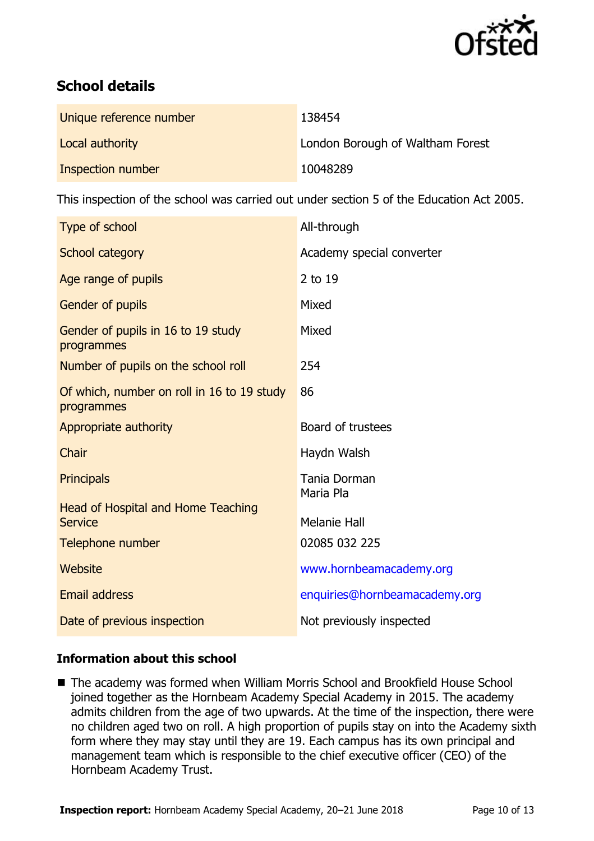

# **School details**

| Unique reference number | 138454                           |
|-------------------------|----------------------------------|
| Local authority         | London Borough of Waltham Forest |
| Inspection number       | 10048289                         |

This inspection of the school was carried out under section 5 of the Education Act 2005.

| Type of school                                                                  | All-through                          |
|---------------------------------------------------------------------------------|--------------------------------------|
| School category                                                                 | Academy special converter            |
| Age range of pupils                                                             | 2 to 19                              |
| Gender of pupils                                                                | Mixed                                |
| Gender of pupils in 16 to 19 study<br>programmes                                | Mixed                                |
| Number of pupils on the school roll                                             | 254                                  |
| Of which, number on roll in 16 to 19 study<br>programmes                        | 86                                   |
| Appropriate authority                                                           | Board of trustees                    |
| Chair                                                                           | Haydn Walsh                          |
| <b>Principals</b>                                                               | Tania Dorman<br>Maria Pla            |
| <b>Head of Hospital and Home Teaching</b><br><b>Service</b><br>Telephone number | <b>Melanie Hall</b><br>02085 032 225 |
|                                                                                 |                                      |
| Website                                                                         | www.hornbeamacademy.org              |
| <b>Email address</b>                                                            | enquiries@hornbeamacademy.org        |
| Date of previous inspection                                                     | Not previously inspected             |

### **Information about this school**

■ The academy was formed when William Morris School and Brookfield House School joined together as the Hornbeam Academy Special Academy in 2015. The academy admits children from the age of two upwards. At the time of the inspection, there were no children aged two on roll. A high proportion of pupils stay on into the Academy sixth form where they may stay until they are 19. Each campus has its own principal and management team which is responsible to the chief executive officer (CEO) of the Hornbeam Academy Trust.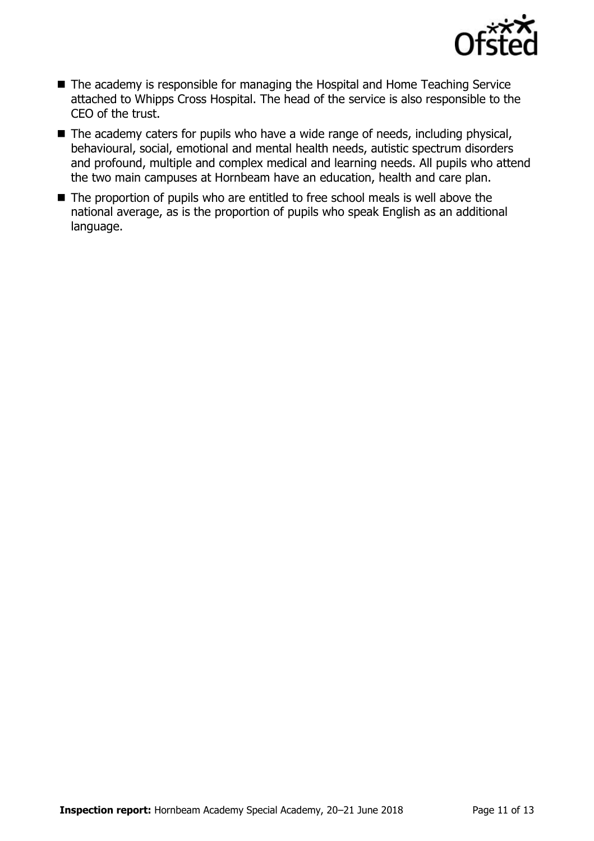

- The academy is responsible for managing the Hospital and Home Teaching Service attached to Whipps Cross Hospital. The head of the service is also responsible to the CEO of the trust.
- The academy caters for pupils who have a wide range of needs, including physical, behavioural, social, emotional and mental health needs, autistic spectrum disorders and profound, multiple and complex medical and learning needs. All pupils who attend the two main campuses at Hornbeam have an education, health and care plan.
- The proportion of pupils who are entitled to free school meals is well above the national average, as is the proportion of pupils who speak English as an additional language.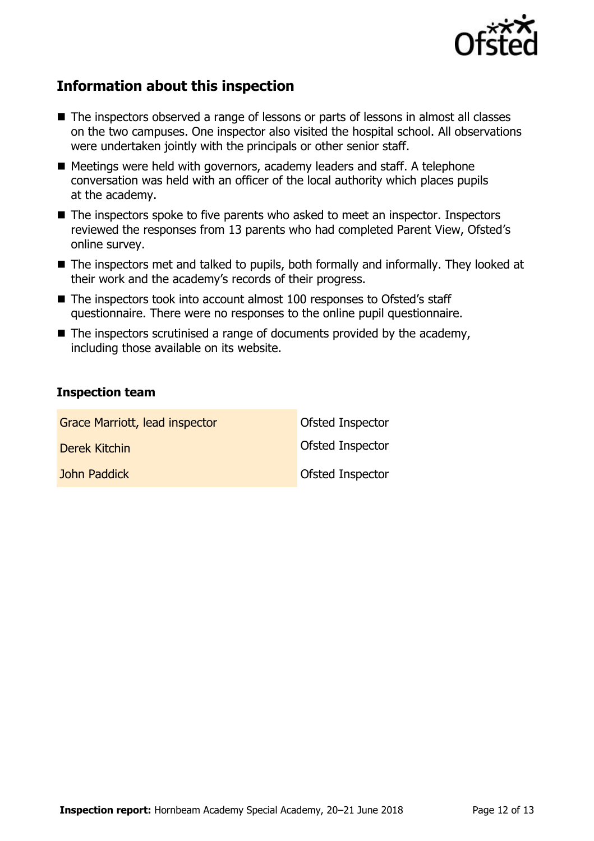

## **Information about this inspection**

- The inspectors observed a range of lessons or parts of lessons in almost all classes on the two campuses. One inspector also visited the hospital school. All observations were undertaken jointly with the principals or other senior staff.
- Meetings were held with governors, academy leaders and staff. A telephone conversation was held with an officer of the local authority which places pupils at the academy.
- The inspectors spoke to five parents who asked to meet an inspector. Inspectors reviewed the responses from 13 parents who had completed Parent View, Ofsted's online survey.
- The inspectors met and talked to pupils, both formally and informally. They looked at their work and the academy's records of their progress.
- The inspectors took into account almost 100 responses to Ofsted's staff questionnaire. There were no responses to the online pupil questionnaire.
- $\blacksquare$  The inspectors scrutinised a range of documents provided by the academy, including those available on its website.

#### **Inspection team**

| Grace Marriott, lead inspector | Ofsted Inspector |
|--------------------------------|------------------|
| Derek Kitchin                  | Ofsted Inspector |
| John Paddick                   | Ofsted Inspector |